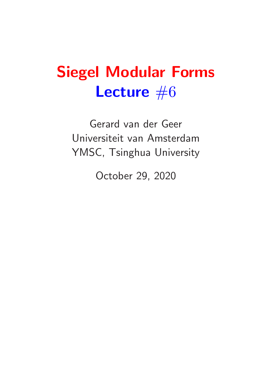# Siegel Modular Forms Lecture  $#6$

Gerard van der Geer Universiteit van Amsterdam YMSC, Tsinghua University

October 29, 2020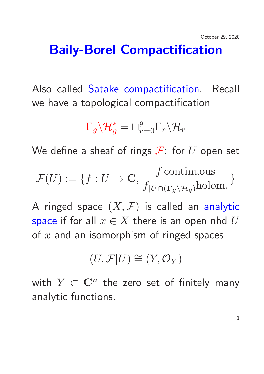## Baily-Borel Compactification

Also called Satake compactification. Recall we have a topological compactification

$$
\Gamma_g \backslash \mathcal{H}_g^* = \sqcup_{r=0}^g \Gamma_r \backslash \mathcal{H}_r
$$

We define a sheaf of rings  $\mathcal{F}$ : for U open set

$$
\mathcal{F}(U) := \{ f : U \to \mathbf{C}, \, \text{ f continuous \atop f|U \cap (\Gamma_g \setminus \mathcal{H}_g) \text{holom.}} \}
$$

A ringed space  $(X, \mathcal{F})$  is called an analytic space if for all  $x \in X$  there is an open nhd U of  $x$  and an isomorphism of ringed spaces

$$
(U, \mathcal{F}|U) \cong (Y, \mathcal{O}_Y)
$$

with  $Y \subset \mathbf{C}^n$  the zero set of finitely many analytic functions.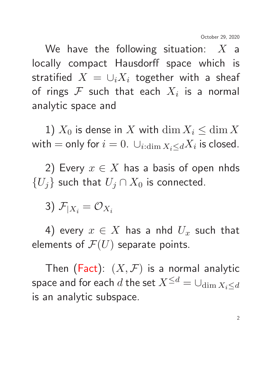We have the following situation:  $X$  a locally compact Hausdorff space which is stratified  $X = \cup_i X_i$  together with a sheaf of rings  ${\cal F}$  such that each  $X_i$  is a normal analytic space and

1)  $X_0$  is dense in X with  $\dim X_i \leq \dim X$ with  $=$  only for  $i=0$ .  $\cup_{i:\dim X_i\leq d} X_i$  is closed.

2) Every  $x \in X$  has a basis of open nhds  ${U<sub>j</sub>}$  such that  $U<sub>j</sub> \cap X<sub>0</sub>$  is connected.

3)  $\mathcal{F}_{|X_i} = \mathcal{O}_{X_i}$ 

4) every  $x \in X$  has a nhd  $U_x$  such that elements of  $\mathcal{F}(U)$  separate points.

Then (Fact):  $(X, \mathcal{F})$  is a normal analytic space and for each d the set  $X^{\leq d} = \bigcup_{\dim X_i \leq d}$ is an analytic subspace.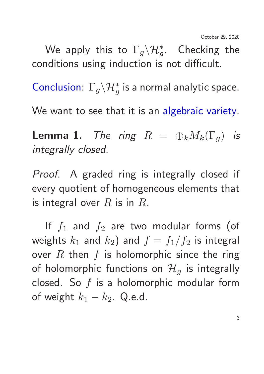We apply this to  $\Gamma_g \backslash \mathcal{H}^*_g$ . Checking the conditions using induction is not difficult.

Conclusion:  $\Gamma_g \backslash \mathcal{H}^*_g$  is a normal analytic space.

We want to see that it is an algebraic variety.

**Lemma 1.** The ring  $R = \bigoplus_k M_k(\Gamma_q)$  is integrally closed.

Proof. A graded ring is integrally closed if every quotient of homogeneous elements that is integral over  $R$  is in  $R$ .

If  $f_1$  and  $f_2$  are two modular forms (of weights  $k_1$  and  $k_2$ ) and  $f = f_1/f_2$  is integral over  $R$  then  $f$  is holomorphic since the ring of holomorphic functions on  $\mathcal{H}_q$  is integrally closed. So  $f$  is a holomorphic modular form of weight  $k_1 - k_2$ . Q.e.d.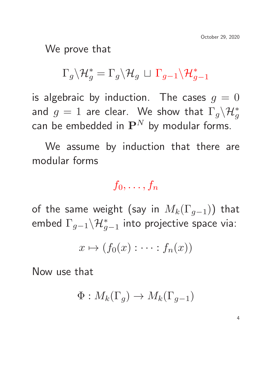We prove that

$$
\Gamma_g \backslash \mathcal{H}_g^* = \Gamma_g \backslash \mathcal{H}_g \,\sqcup\, \Gamma_{g-1} \backslash \mathcal{H}_{g-1}^*
$$

is algebraic by induction. The cases  $g = 0$ and  $g=1$  are clear. We show that  $\Gamma_g \backslash \mathcal{H}^*_g$ can be embedded in  $\mathbf{P}^{N}$  by modular forms.

We assume by induction that there are modular forms

 $f_0, \ldots, f_n$ 

of the same weight (say in  $M_k(\Gamma_{q-1})$ ) that embed  $\Gamma_{g-1} \backslash \mathcal{H}_{g-1}^*$  into projective space via:

$$
x \mapsto (f_0(x) : \cdots : f_n(x))
$$

Now use that

$$
\Phi: M_k(\Gamma_g) \to M_k(\Gamma_{g-1})
$$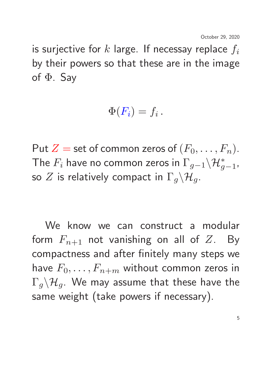is surjective for  $k$  large. If necessay replace  $f_i$ by their powers so that these are in the image of  $\Phi$ . Say

$$
\Phi(F_i)=f_i\,.
$$

Put  $Z =$  set of common zeros of  $(F_0, \ldots, F_n)$ . The  $F_i$  have no common zeros in  $\Gamma_{g-1} \backslash \mathcal{H}_{g-1}^*$ , so Z is relatively compact in  $\Gamma_q \backslash \mathcal{H}_q$ .

We know we can construct a modular form  $F_{n+1}$  not vanishing on all of Z. By compactness and after finitely many steps we have  $F_0, \ldots, F_{n+m}$  without common zeros in  $\Gamma_q \backslash \mathcal{H}_q$ . We may assume that these have the same weight (take powers if necessary).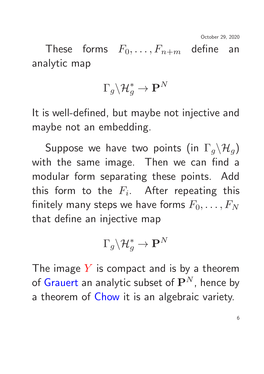October 29, 2020

These forms  $F_0, \ldots, F_{n+m}$  define an analytic map

$$
\Gamma_g \backslash \mathcal{H}_g^* \to \mathbf{P}^N
$$

It is well-defined, but maybe not injective and maybe not an embedding.

Suppose we have two points (in  $\Gamma_g \backslash \mathcal{H}_g$ ) with the same image. Then we can find a modular form separating these points. Add this form to the  $F_i.$  After repeating this finitely many steps we have forms  $F_0, \ldots, F_N$ that define an injective map

$$
\Gamma_g \backslash \mathcal{H}_g^* \to \mathbf{P}^N
$$

The image  $Y$  is compact and is by a theorem of Grauert an analytic subset of  $\mathbf{P}^{N}$ , hence by a theorem of Chow it is an algebraic variety.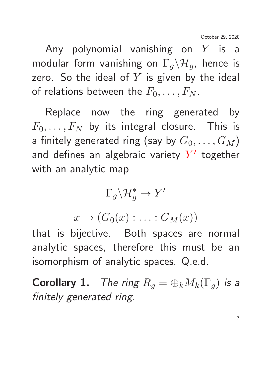Any polynomial vanishing on  $Y$  is a modular form vanishing on  $\Gamma_q \backslash \mathcal{H}_q$ , hence is zero. So the ideal of  $Y$  is given by the ideal of relations between the  $F_0, \ldots, F_N$ .

Replace now the ring generated by  $F_0, \ldots, F_N$  by its integral closure. This is a finitely generated ring (say by  $G_0, \ldots, G_M$ ) and defines an algebraic variety  $Y'$  together with an analytic map

$$
\Gamma_g\backslash\mathcal{H}_g^*\to Y'
$$

 $x \mapsto (G_0(x) : \ldots : G_M(x))$ 

that is bijective. Both spaces are normal analytic spaces, therefore this must be an isomorphism of analytic spaces. Q.e.d.

**Corollary 1.** The ring  $R_q = \bigoplus_k M_k(\Gamma_q)$  is a finitely generated ring.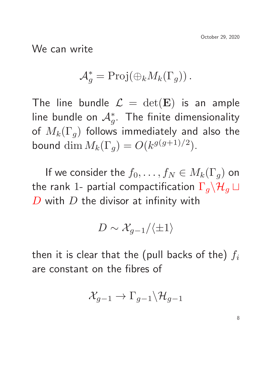We can write

$$
\mathcal{A}_g^* = \text{Proj}(\oplus_k M_k(\Gamma_g)).
$$

The line bundle  $\mathcal{L} = \det(\mathbf{E})$  is an ample line bundle on  $\mathcal{A}^*_g$ . The finite dimensionality of  $M_k(\Gamma_g)$  follows immediately and also the bound  $\dim M_k(\Gamma_g) = O(k^{g(g+1)/2}).$ 

If we consider the  $f_0, \ldots, f_N \in M_k(\Gamma_q)$  on the rank 1- partial compactification  $\Gamma_q \backslash \mathcal{H}_q \sqcup$  $D$  with  $D$  the divisor at infinity with

$$
D\sim \mathcal{X}_{g-1}/\langle \pm 1\rangle
$$

then it is clear that the (pull backs of the)  $f_i$ are constant on the fibres of

$$
\mathcal{X}_{g-1}\to \Gamma_{g-1}\backslash \mathcal{H}_{g-1}
$$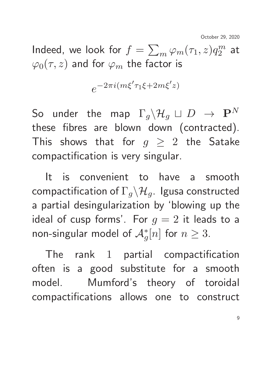October 29, 2020

Indeed, we look for  $f = \sum_m \varphi_m(\tau_1, z) q_2^m$  $\frac{m}{2}$  at  $\varphi_0(\tau, z)$  and for  $\varphi_m$  the factor is

$$
e^{-2\pi i(m\xi'\tau_1\xi+2m\xi'z)}
$$

So under the map  $\Gamma_q \backslash \mathcal{H}_q \sqcup D \rightarrow \mathbf{P}^N$ these fibres are blown down (contracted). This shows that for  $g \geq 2$  the Satake compactification is very singular.

It is convenient to have a smooth compactification of  $\Gamma_q \backslash \mathcal{H}_q$ . Igusa constructed a partial desingularization by 'blowing up the ideal of cusp forms'. For  $g = 2$  it leads to a non-singular model of  $\mathcal{A}_{g}^{\ast}[n]$  for  $n\geq3.$ 

The rank 1 partial compactification often is a good substitute for a smooth model. Mumford's theory of toroidal compactifications allows one to construct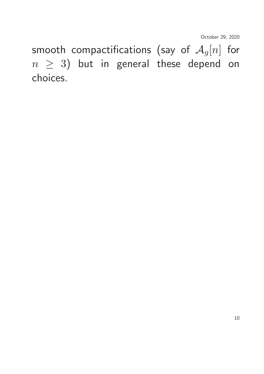smooth compactifications (say of  $\mathcal{A}_g[n]$  for  $n \geq 3$ ) but in general these depend on choices.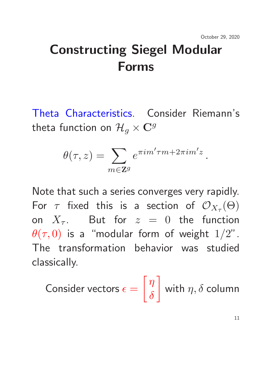.

## Constructing Siegel Modular Forms

Theta Characteristics. Consider Riemann's theta function on  $\mathcal{H}_q \times \mathbf{C}^g$ 

$$
\theta(\tau,z) = \sum_{m \in \mathbf{Z}^g} e^{\pi i m' \tau m + 2\pi i m' z}
$$

Note that such a series converges very rapidly. For  $\tau$  fixed this is a section of  $\mathcal{O}_{X_\tau}(\Theta)$ on  $X_{\tau}$ . But for  $z = 0$  the function  $\theta(\tau,0)$  is a "modular form of weight  $1/2$ ". The transformation behavior was studied classically.

Consider vectors  $\epsilon =$  $\lceil \eta \rceil$  $\delta$  $\mathcal{L}$ with  $\eta, \delta$  column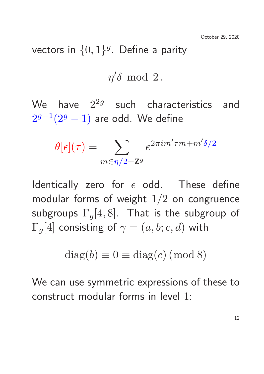vectors in  $\{0,1\}^g$ . Define a parity

$$
\eta' \delta \hspace{.05in} \mathrm{mod} \hspace{.05in} 2 \, .
$$

We have  $2^{2g}$  such characteristics and  $2^{g-1}(2^g-1)$  are odd. We define

$$
\theta[\epsilon](\tau) = \sum_{m \in \eta/2 + \mathbf{Z}^g} e^{2\pi i m' \tau m + m' \delta/2}
$$

Identically zero for  $\epsilon$  odd. These define modular forms of weight  $1/2$  on congruence subgroups  $\Gamma_q[4,8]$ . That is the subgroup of  $\Gamma_a[4]$  consisting of  $\gamma = (a, b; c, d)$  with

$$
diag(b) \equiv 0 \equiv diag(c) \pmod{8}
$$

We can use symmetric expressions of these to construct modular forms in level 1: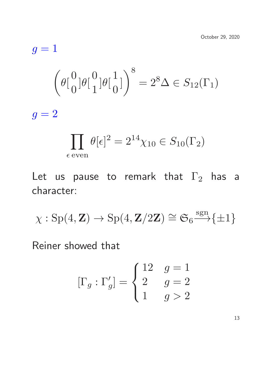$$
g = 1
$$
  

$$
\left(\theta \begin{bmatrix} 0 \\ 0 \end{bmatrix} \theta \begin{bmatrix} 0 \\ 1 \end{bmatrix} \theta \begin{bmatrix} 1 \\ 0 \end{bmatrix}\right)^8 = 2^8 \Delta \in S_{12}(\Gamma_1)
$$
  

$$
g = 2
$$

$$
\prod_{\epsilon \text{ even}} \theta[\epsilon]^2 = 2^{14} \chi_{10} \in S_{10}(\Gamma_2)
$$

Let us pause to remark that  $\Gamma_2$  has a character:

$$
\chi: \operatorname{Sp}(4,\mathbf{Z}) \to \operatorname{Sp}(4,\mathbf{Z}/2\mathbf{Z}) \cong \mathfrak{S}_6 \xrightarrow{\operatorname{sgn}} \{\pm 1\}
$$

Reiner showed that

$$
[\Gamma_g : \Gamma'_g] = \begin{cases} 12 & g = 1 \\ 2 & g = 2 \\ 1 & g > 2 \end{cases}
$$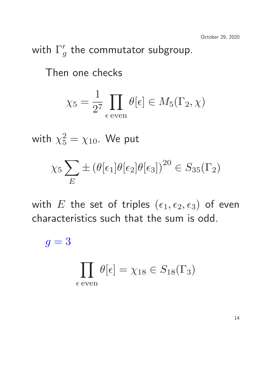#### with  $\Gamma_c'$  $_{g}^{\prime}$  the commutator subgroup.

Then one checks

$$
\chi_5 = \frac{1}{2^7} \prod_{\epsilon \text{ even}} \theta[\epsilon] \in M_5(\Gamma_2, \chi)
$$

with  $\chi_{5}^{2}=\chi_{10}.$  We put

$$
\chi_5 \sum_E \pm (\theta[\epsilon_1] \theta[\epsilon_2] \theta[\epsilon_3])^{20} \in S_{35}(\Gamma_2)
$$

with E the set of triples  $(\epsilon_1, \epsilon_2, \epsilon_3)$  of even characteristics such that the sum is odd.

 $g = 3$ 

$$
\prod_{\epsilon \text{ even}} \theta[\epsilon] = \chi_{18} \in S_{18}(\Gamma_3)
$$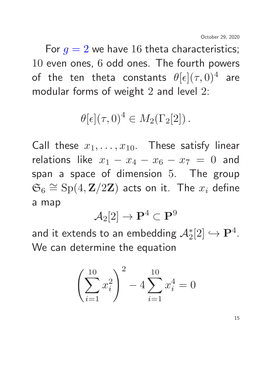For  $g = 2$  we have 16 theta characteristics; 10 even ones, 6 odd ones. The fourth powers of the ten theta constants  $\theta[\epsilon](\tau,0)^4$  are modular forms of weight 2 and level 2:

$$
\theta[\epsilon](\tau,0)^4 \in M_2(\Gamma_2[2])\,.
$$

Call these  $x_1, \ldots, x_{10}$ . These satisfy linear relations like  $x_1 - x_4 - x_6 - x_7 = 0$  and span a space of dimension 5. The group  $\mathfrak{S}_6 \cong \mathrm{Sp}(4,\mathbf{Z}/2\mathbf{Z})$  acts on it. The  $x_i$  define a map

$$
\mathcal{A}_2[2] \to \mathbf{P}^4 \subset \mathbf{P}^9
$$

and it extends to an embedding  $\mathcal{A}_{2}^{\ast}[2]\hookrightarrow\mathbf{P}^{4}.$ We can determine the equation

$$
\left(\sum_{i=1}^{10} x_i^2\right)^2 - 4\sum_{i=1}^{10} x_i^4 = 0
$$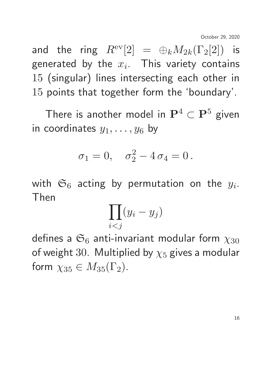and the ring  $R^{ev}[2] = \bigoplus_k M_{2k}(\Gamma_2[2])$  is generated by the  $x_i$ . This variety contains 15 (singular) lines intersecting each other in 15 points that together form the 'boundary'.

There is another model in  $\mathbf{P}^4 \subset \mathbf{P}^5$  given in coordinates  $y_1, \ldots, y_6$  by

$$
\sigma_1 = 0, \quad \sigma_2^2 - 4 \sigma_4 = 0.
$$

with  $\mathfrak{S}_6$  acting by permutation on the  $y_i$ . Then

$$
\prod_{i
$$

defines a  $\mathfrak{S}_6$  anti-invariant modular form  $\chi_{30}$ of weight 30. Multiplied by  $\chi_5$  gives a modular form  $\chi_{35} \in M_{35}(\Gamma_2)$ .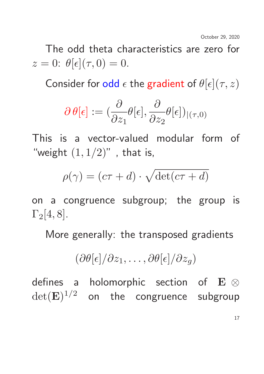The odd theta characteristics are zero for  $z=0$ :  $\theta[\epsilon](\tau,0)=0$ .

Consider for odd  $\epsilon$  the gradient of  $\theta[\epsilon](\tau,z)$ 

$$
\partial\, \theta[\epsilon] := (\frac{\partial}{\partial z_1} \theta[\epsilon], \frac{\partial}{\partial z_2} \theta[\epsilon])_{|(\tau,0)}
$$

This is a vector-valued modular form of "weight  $(1, 1/2)$ ", that is,

$$
\rho(\gamma) = (c\tau + d) \cdot \sqrt{\det(c\tau + d)}
$$

on a congruence subgroup; the group is  $\Gamma_2[4,8]$ .

More generally: the transposed gradients

$$
(\partial \theta[\epsilon]/\partial z_1, \ldots, \partial \theta[\epsilon]/\partial z_g)
$$

defines a holomorphic section of E ⊗  $\det(\mathbf{E})^{1/2}$  on the congruence subgroup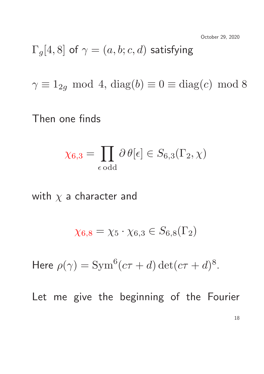$$
\Gamma_g[4,8] \text{ of } \gamma = (a,b;c,d) \text{ satisfying}
$$

 $\gamma \equiv 1_{2g} \mod 4$ , diag(b)  $\equiv 0 \equiv \text{diag}(c) \mod 8$ 

Then one finds

$$
\chi_{6,3} = \prod_{\epsilon \text{ odd}} \partial \theta[\epsilon] \in S_{6,3}(\Gamma_2, \chi)
$$

with  $\chi$  a character and

$$
\chi_{6,8}=\chi_5\cdot \chi_{6,3}\in S_{6,8}(\Gamma_2)
$$

Here  $\rho(\gamma) = \text{Sym}^6(c\tau + d) \det(c\tau + d)^8$ .

Let me give the beginning of the Fourier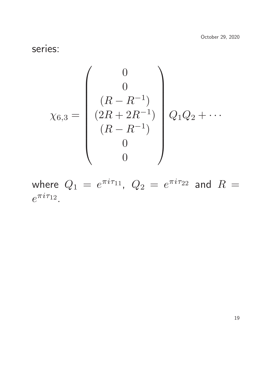series:

$$
\chi_{6,3} = \begin{pmatrix} 0 \\ 0 \\ (R - R^{-1}) \\ (2R + 2R^{-1}) \\ (R - R^{-1}) \\ 0 \\ 0 \end{pmatrix} Q_1 Q_2 + \cdots
$$

where  $Q_1 = e^{\pi i \tau_{11}}, \ Q_2 = e^{\pi i \tau_{22}}$  and  $R=$  $e^{\pi i \tau_{12}}.$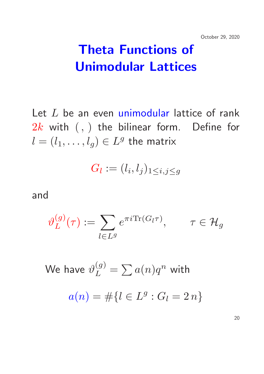## Theta Functions of Unimodular Lattices

Let  $L$  be an even unimodular lattice of rank  $2k$  with  $(,)$  the bilinear form. Define for  $l=(l_1,\ldots,l_g)\in L^g$  the matrix

$$
G_l:=(l_i,l_j)_{1\leq i,j\leq g}
$$

and

$$
\vartheta_L^{(g)}(\tau) := \sum_{l \in L^g} e^{\pi i \text{Tr}(G_l \tau)}, \qquad \tau \in \mathcal{H}_g
$$

We have  $\vartheta^{(g)}_L=\sum a(n)q^n$  with  $a(n) = #\{l \in L^g : G_l = 2 n\}$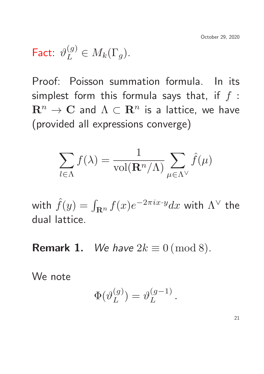# Fact:  $\vartheta_L^{(g)} \in M_k(\Gamma_g)$ .

Proof: Poisson summation formula. In its simplest form this formula says that, if  $f$ :  $\mathbf{R}^n \to \mathbf{C}$  and  $\Lambda \subset \mathbf{R}^n$  is a lattice, we have (provided all expressions converge)

$$
\sum_{l \in \Lambda} f(\lambda) = \frac{1}{\text{vol}(\mathbf{R}^n/\Lambda)} \sum_{\mu \in \Lambda^{\vee}} \hat{f}(\mu)
$$

with  $\hat{f}(y) = \int_{\mathbf{R}^n} f(x) e^{-2\pi i x \cdot y} dx$  with  $\Lambda^\vee$  the dual lattice.

**Remark 1.** We have  $2k \equiv 0 \pmod{8}$ .

We note

$$
\Phi(\vartheta_L^{(g)})=\vartheta_L^{(g-1)}
$$

.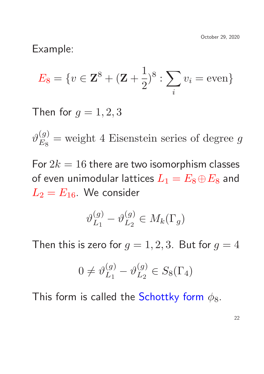Example:

$$
E_8 = \{ v \in \mathbf{Z}^8 + (\mathbf{Z} + \frac{1}{2})^8 : \sum_i v_i = \text{even} \}
$$

Then for  $g = 1, 2, 3$ 

 $\vartheta^{(g)}_{E_{\infty}}$  $E_8$  $=$  weight 4 Eisenstein series of degree  $g$ 

For  $2k = 16$  there are two isomorphism classes of even unimodular lattices  $L_1 = E_8 \oplus E_8$  and  $L_2 = E_{16}$ . We consider

$$
\vartheta_{L_1}^{(g)} - \vartheta_{L_2}^{(g)} \in M_k(\Gamma_g)
$$

Then this is zero for  $g = 1, 2, 3$ . But for  $g = 4$ 

$$
0 \neq \vartheta_{L_1}^{(g)} - \vartheta_{L_2}^{(g)} \in S_8(\Gamma_4)
$$

This form is called the Schottky form  $\phi_8$ .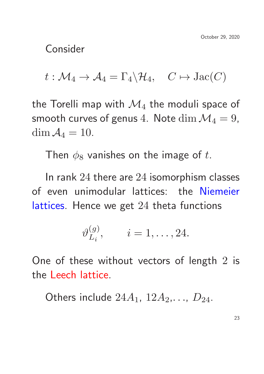Consider

 $t : \mathcal{M}_4 \to \mathcal{A}_4 = \Gamma_4 \backslash \mathcal{H}_4$ ,  $C \mapsto \text{Jac}(C)$ 

the Torelli map with  $\mathcal{M}_4$  the moduli space of smooth curves of genus 4. Note  $\dim \mathcal{M}_4 = 9$ , dim  $A_4 = 10$ .

Then  $\phi_8$  vanishes on the image of t.

In rank 24 there are 24 isomorphism classes of even unimodular lattices: the Niemeier lattices. Hence we get 24 theta functions

$$
\vartheta_{L_i}^{(g)}, \qquad i = 1, \ldots, 24.
$$

One of these without vectors of length 2 is the Leech lattice.

Others include  $24A_1$ ,  $12A_2$ ,...,  $D_{24}$ .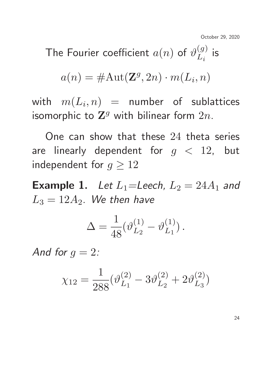October 29, 2020

The Fourier coefficient  $a(n)$  of  $\vartheta^{(g)}_{Ln}$  $L_i$ is

$$
a(n) = \# \text{Aut}(\mathbf{Z}^g, 2n) \cdot m(L_i, n)
$$

with  $m(L_i,n)$   $\,=\,$  number of sublattices isomorphic to  $\mathbf{Z}^{g}$  with bilinear form  $2n$ .

One can show that these 24 theta series are linearly dependent for  $g < 12$ , but independent for  $g \ge 12$ 

**Example 1.** Let  $L_1$ =Leech,  $L_2 = 24A_1$  and  $L_3 = 12A_2$ . We then have

$$
\Delta = \frac{1}{48} (\vartheta_{L_2}^{(1)} - \vartheta_{L_1}^{(1)}) \,.
$$

And for  $g = 2$ :

$$
\chi_{12} = \frac{1}{288} (\vartheta_{L_1}^{(2)} - 3\vartheta_{L_2}^{(2)} + 2\vartheta_{L_3}^{(2)})
$$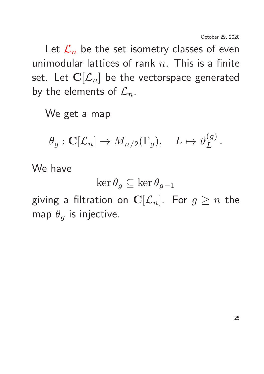Let  $\mathcal{L}_n$  be the set isometry classes of even unimodular lattices of rank  $n$ . This is a finite set. Let  $\mathbf{C}[\mathcal{L}_n]$  be the vectorspace generated by the elements of  $\mathcal{L}_n$ .

We get a map

$$
\theta_g: \mathbf{C}[\mathcal{L}_n] \to M_{n/2}(\Gamma_g), \quad L \mapsto \vartheta_L^{(g)}.
$$

We have

$$
\ker \theta_g \subseteq \ker \theta_{g-1}
$$

giving a filtration on  $\mathbf{C}[\mathcal{L}_n]$ . For  $g \geq n$  the map  $\theta_g$  is injective.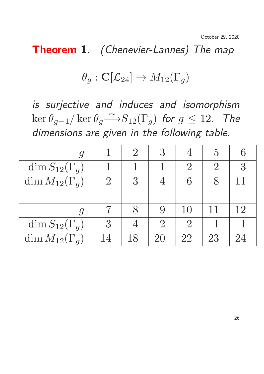October 29, 2020

Theorem 1. (Chenevier-Lannes) The map

### $\theta_q : \mathbf{C}[\mathcal{L}_{24}] \to M_{12}(\Gamma_q)$

is surjective and induces and isomorphism  $\ker \theta_{g-1}/\ker \theta_{g}$ ∼  $-\rightarrow$   $S_{12}(\Gamma_g)$  for  $g \leq 12$ . The dimensions are given in the following table.

|                         |                | $\overline{2}$ | 3              |       | $\mathcal{C}$  |    |
|-------------------------|----------------|----------------|----------------|-------|----------------|----|
| $\dim S_{12}(\Gamma_g)$ |                |                |                | $2\,$ | $\overline{2}$ | 3  |
| dim $M_{12}(\Gamma_g)$  | $\overline{2}$ | 3              |                | 6     |                | 11 |
|                         |                |                |                |       |                |    |
|                         |                |                |                | 10    |                | 12 |
| dim $S_{12}(\Gamma_g)$  | 3              |                | $\overline{2}$ |       |                |    |
| dim $M_{12}(\Gamma_q)$  | 14             | 18             | 20             | 22    | 23             |    |